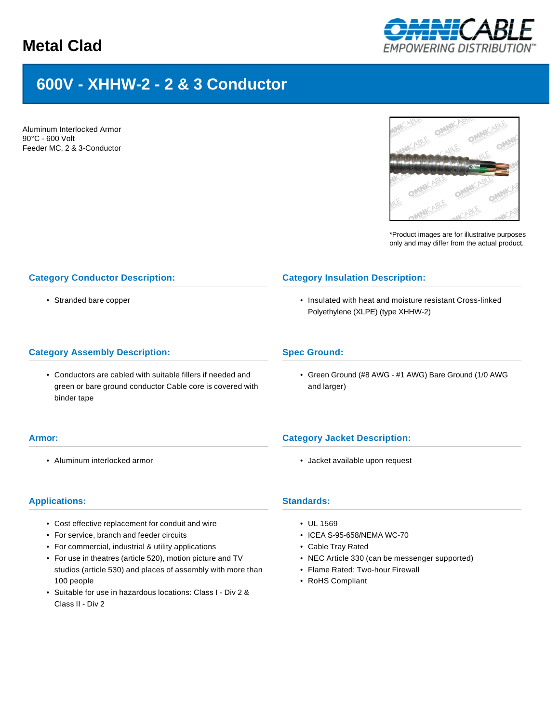## **Metal Clad**



# **600V - XHHW-2 - 2 & 3 Conductor**

Aluminum Interlocked Armor 90°C - 600 Volt Feeder MC, 2 & 3-Conductor



\*Product images are for illustrative purposes only and may differ from the actual product.

## **Category Conductor Description:**

• Stranded bare copper

### **Category Assembly Description:**

• Conductors are cabled with suitable fillers if needed and green or bare ground conductor Cable core is covered with binder tape

#### **Armor:**

• Aluminum interlocked armor

## **Category Insulation Description:**

• Insulated with heat and moisture resistant Cross-linked Polyethylene (XLPE) (type XHHW-2)

## **Spec Ground:**

• Green Ground (#8 AWG - #1 AWG) Bare Ground (1/0 AWG and larger)

## **Category Jacket Description:**

• Jacket available upon request

### **Applications:**

- Cost effective replacement for conduit and wire
- For service, branch and feeder circuits
- For commercial, industrial & utility applications
- For use in theatres (article 520), motion picture and TV studios (article 530) and places of assembly with more than 100 people
- Suitable for use in hazardous locations: Class I Div 2 & Class II - Div 2

## **Standards:**

- UL 1569
- ICEA S-95-658/NEMA WC-70
- Cable Tray Rated
- NEC Article 330 (can be messenger supported)
- Flame Rated: Two-hour Firewall
- RoHS Compliant